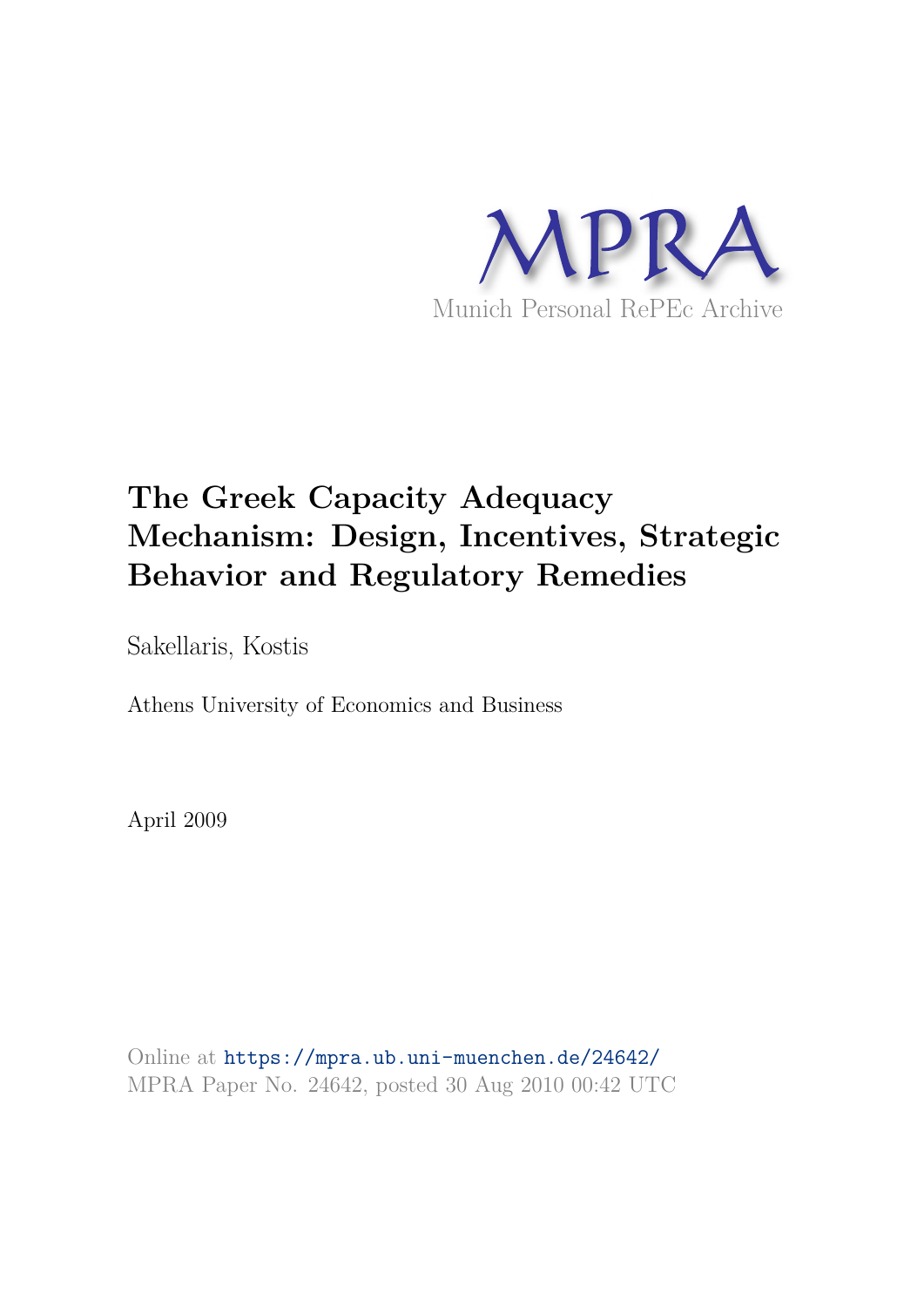

# **The Greek Capacity Adequacy Mechanism: Design, Incentives, Strategic Behavior and Regulatory Remedies**

Sakellaris, Kostis

Athens University of Economics and Business

April 2009

Online at https://mpra.ub.uni-muenchen.de/24642/ MPRA Paper No. 24642, posted 30 Aug 2010 00:42 UTC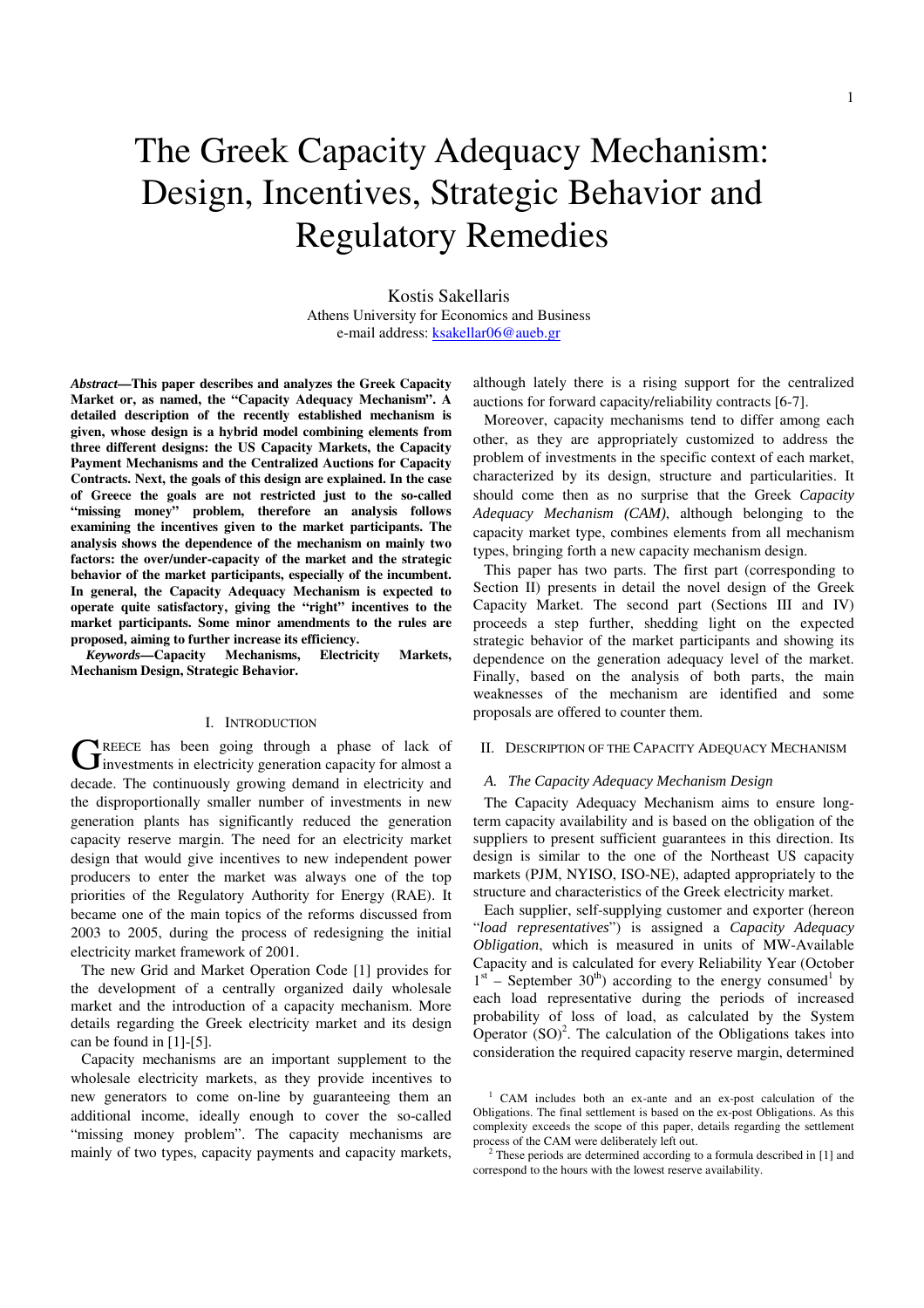1

# The Greek Capacity Adequacy Mechanism: Design, Incentives, Strategic Behavior and Regulatory Remedies

Kostis Sakellaris Athens University for Economics and Business e-mail address: ksakellar06@aueb.gr

*Abstract***—This paper describes and analyzes the Greek Capacity Market or, as named, the "Capacity Adequacy Mechanism". A detailed description of the recently established mechanism is given, whose design is a hybrid model combining elements from three different designs: the US Capacity Markets, the Capacity Payment Mechanisms and the Centralized Auctions for Capacity Contracts. Next, the goals of this design are explained. In the case of Greece the goals are not restricted just to the so-called "missing money" problem, therefore an analysis follows examining the incentives given to the market participants. The analysis shows the dependence of the mechanism on mainly two factors: the over/under-capacity of the market and the strategic behavior of the market participants, especially of the incumbent. In general, the Capacity Adequacy Mechanism is expected to operate quite satisfactory, giving the "right" incentives to the market participants. Some minor amendments to the rules are proposed, aiming to further increase its efficiency.** 

*Keywords***—Capacity Mechanisms, Electricity Markets, Mechanism Design, Strategic Behavior.** 

# I. INTRODUCTION

REECE has been going through a phase of lack of GREECE has been going through a phase of lack of investments in electricity generation capacity for almost a decade. The continuously growing demand in electricity and the disproportionally smaller number of investments in new generation plants has significantly reduced the generation capacity reserve margin. The need for an electricity market design that would give incentives to new independent power producers to enter the market was always one of the top priorities of the Regulatory Authority for Energy (RAE). It became one of the main topics of the reforms discussed from 2003 to 2005, during the process of redesigning the initial electricity market framework of 2001.

The new Grid and Market Operation Code [1] provides for the development of a centrally organized daily wholesale market and the introduction of a capacity mechanism. More details regarding the Greek electricity market and its design can be found in [1]-[5].

Capacity mechanisms are an important supplement to the wholesale electricity markets, as they provide incentives to new generators to come on-line by guaranteeing them an additional income, ideally enough to cover the so-called "missing money problem". The capacity mechanisms are mainly of two types, capacity payments and capacity markets,

although lately there is a rising support for the centralized auctions for forward capacity/reliability contracts [6-7].

Moreover, capacity mechanisms tend to differ among each other, as they are appropriately customized to address the problem of investments in the specific context of each market, characterized by its design, structure and particularities. It should come then as no surprise that the Greek *Capacity Adequacy Mechanism (CAM)*, although belonging to the capacity market type, combines elements from all mechanism types, bringing forth a new capacity mechanism design.

This paper has two parts. The first part (corresponding to Section II) presents in detail the novel design of the Greek Capacity Market. The second part (Sections III and IV) proceeds a step further, shedding light on the expected strategic behavior of the market participants and showing its dependence on the generation adequacy level of the market. Finally, based on the analysis of both parts, the main weaknesses of the mechanism are identified and some proposals are offered to counter them.

## II. DESCRIPTION OF THE CAPACITY ADEQUACY MECHANISM

## *A. The Capacity Adequacy Mechanism Design*

The Capacity Adequacy Mechanism aims to ensure longterm capacity availability and is based on the obligation of the suppliers to present sufficient guarantees in this direction. Its design is similar to the one of the Northeast US capacity markets (PJM, NYISO, ISO-NE), adapted appropriately to the structure and characteristics of the Greek electricity market.

Each supplier, self-supplying customer and exporter (hereon "*load representatives*") is assigned a *Capacity Adequacy Obligation*, which is measured in units of MW-Available Capacity and is calculated for every Reliability Year (October  $1<sup>st</sup>$  – September 30<sup>th</sup>) according to the energy consumed<sup>1</sup> by each load representative during the periods of increased probability of loss of load, as calculated by the System Operator  $(SO)^2$ . The calculation of the Obligations takes into consideration the required capacity reserve margin, determined

<sup>&</sup>lt;sup>1</sup> CAM includes both an ex-ante and an ex-post calculation of the Obligations. The final settlement is based on the ex-post Obligations. As this complexity exceeds the scope of this paper, details regarding the settlement process of the CAM were deliberately left out.

 $2$ <sup>2</sup> These periods are determined according to a formula described in [1] and correspond to the hours with the lowest reserve availability.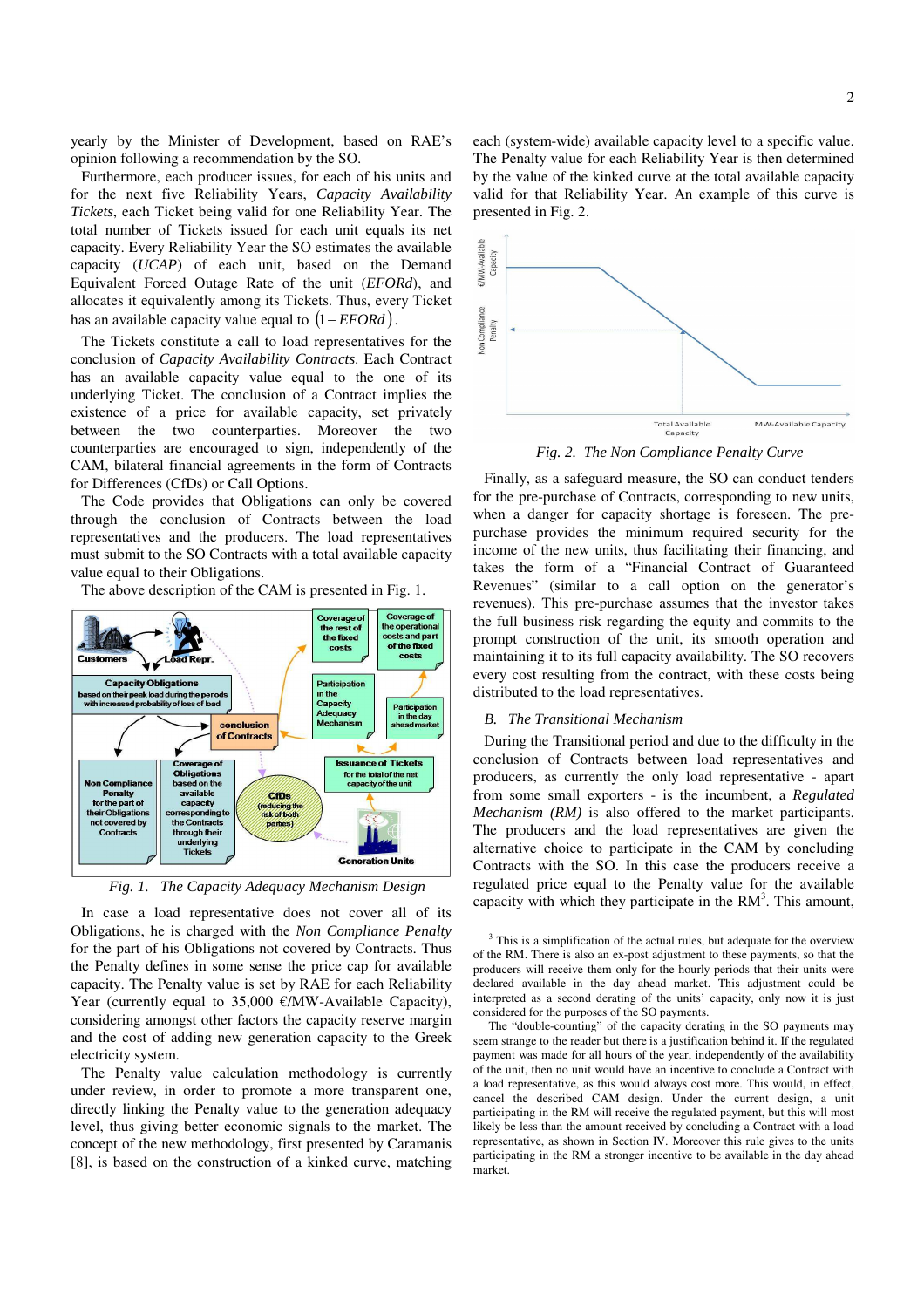yearly by the Minister of Development, based on RAE's opinion following a recommendation by the SO.

Furthermore, each producer issues, for each of his units and for the next five Reliability Years, *Capacity Availability Tickets*, each Ticket being valid for one Reliability Year. The total number of Tickets issued for each unit equals its net capacity. Every Reliability Year the SO estimates the available capacity (*UCAP*) of each unit, based on the Demand Equivalent Forced Outage Rate of the unit (*EFORd*), and allocates it equivalently among its Tickets. Thus, every Ticket has an available capacity value equal to (1− *EFORd* ).

The Tickets constitute a call to load representatives for the conclusion of *Capacity Availability Contracts*. Each Contract has an available capacity value equal to the one of its underlying Ticket. The conclusion of a Contract implies the existence of a price for available capacity, set privately between the two counterparties. Moreover the two counterparties are encouraged to sign, independently of the CAM, bilateral financial agreements in the form of Contracts for Differences (CfDs) or Call Options.

The Code provides that Obligations can only be covered through the conclusion of Contracts between the load representatives and the producers. The load representatives must submit to the SO Contracts with a total available capacity value equal to their Obligations.

The above description of the CAM is presented in Fig. 1.



*Fig. 1. The Capacity Adequacy Mechanism Design* 

In case a load representative does not cover all of its Obligations, he is charged with the *Non Compliance Penalty* for the part of his Obligations not covered by Contracts. Thus the Penalty defines in some sense the price cap for available capacity. The Penalty value is set by RAE for each Reliability Year (currently equal to 35,000  $\epsilon$ /MW-Available Capacity), considering amongst other factors the capacity reserve margin and the cost of adding new generation capacity to the Greek electricity system.

The Penalty value calculation methodology is currently under review, in order to promote a more transparent one, directly linking the Penalty value to the generation adequacy level, thus giving better economic signals to the market. The concept of the new methodology, first presented by Caramanis [8], is based on the construction of a kinked curve, matching each (system-wide) available capacity level to a specific value. The Penalty value for each Reliability Year is then determined by the value of the kinked curve at the total available capacity valid for that Reliability Year. An example of this curve is presented in Fig. 2.



*Fig. 2. The Non Compliance Penalty Curve* 

Finally, as a safeguard measure, the SO can conduct tenders for the pre-purchase of Contracts, corresponding to new units, when a danger for capacity shortage is foreseen. The prepurchase provides the minimum required security for the income of the new units, thus facilitating their financing, and takes the form of a "Financial Contract of Guaranteed Revenues" (similar to a call option on the generator's revenues). This pre-purchase assumes that the investor takes the full business risk regarding the equity and commits to the prompt construction of the unit, its smooth operation and maintaining it to its full capacity availability. The SO recovers every cost resulting from the contract, with these costs being distributed to the load representatives.

## *B. The Transitional Mechanism*

During the Transitional period and due to the difficulty in the conclusion of Contracts between load representatives and producers, as currently the only load representative - apart from some small exporters - is the incumbent, a *Regulated Mechanism (RM)* is also offered to the market participants. The producers and the load representatives are given the alternative choice to participate in the CAM by concluding Contracts with the SO. In this case the producers receive a regulated price equal to the Penalty value for the available capacity with which they participate in the  $RM<sup>3</sup>$ . This amount,

The "double-counting" of the capacity derating in the SO payments may seem strange to the reader but there is a justification behind it. If the regulated payment was made for all hours of the year, independently of the availability of the unit, then no unit would have an incentive to conclude a Contract with a load representative, as this would always cost more. This would, in effect, cancel the described CAM design. Under the current design, a unit participating in the RM will receive the regulated payment, but this will most likely be less than the amount received by concluding a Contract with a load representative, as shown in Section IV. Moreover this rule gives to the units participating in the RM a stronger incentive to be available in the day ahead market.

<sup>&</sup>lt;sup>3</sup> This is a simplification of the actual rules, but adequate for the overview of the RM. There is also an ex-post adjustment to these payments, so that the producers will receive them only for the hourly periods that their units were declared available in the day ahead market. This adjustment could be interpreted as a second derating of the units' capacity, only now it is just considered for the purposes of the SO payments.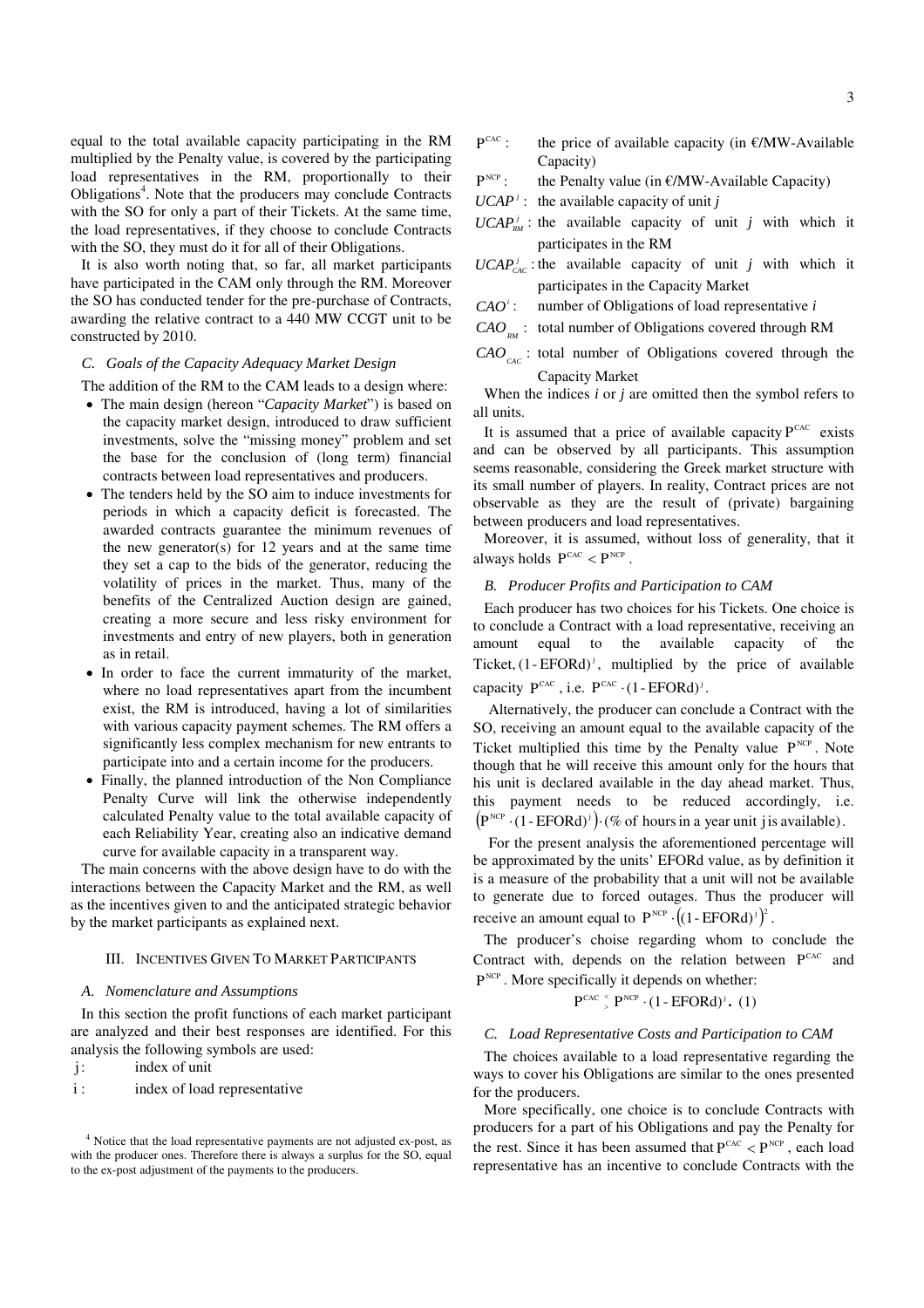equal to the total available capacity participating in the RM multiplied by the Penalty value, is covered by the participating load representatives in the RM, proportionally to their Obligations<sup>4</sup>. Note that the producers may conclude Contracts with the SO for only a part of their Tickets. At the same time, the load representatives, if they choose to conclude Contracts with the SO, they must do it for all of their Obligations.

It is also worth noting that, so far, all market participants have participated in the CAM only through the RM. Moreover the SO has conducted tender for the pre-purchase of Contracts, awarding the relative contract to a 440 MW CCGT unit to be constructed by 2010.

## *C. Goals of the Capacity Adequacy Market Design*

The addition of the RM to the CAM leads to a design where:

- The main design (hereon "*Capacity Market*") is based on the capacity market design, introduced to draw sufficient investments, solve the "missing money" problem and set the base for the conclusion of (long term) financial contracts between load representatives and producers.
- The tenders held by the SO aim to induce investments for periods in which a capacity deficit is forecasted. The awarded contracts guarantee the minimum revenues of the new generator(s) for 12 years and at the same time they set a cap to the bids of the generator, reducing the volatility of prices in the market. Thus, many of the benefits of the Centralized Auction design are gained, creating a more secure and less risky environment for investments and entry of new players, both in generation as in retail.
- In order to face the current immaturity of the market, where no load representatives apart from the incumbent exist, the RM is introduced, having a lot of similarities with various capacity payment schemes. The RM offers a significantly less complex mechanism for new entrants to participate into and a certain income for the producers.
- Finally, the planned introduction of the Non Compliance Penalty Curve will link the otherwise independently calculated Penalty value to the total available capacity of each Reliability Year, creating also an indicative demand curve for available capacity in a transparent way.

The main concerns with the above design have to do with the interactions between the Capacity Market and the RM, as well as the incentives given to and the anticipated strategic behavior by the market participants as explained next.

#### III. INCENTIVES GIVEN TO MARKET PARTICIPANTS

#### *A. Nomenclature and Assumptions*

In this section the profit functions of each market participant are analyzed and their best responses are identified. For this analysis the following symbols are used:

j: index of unit

i : index of load representative

 $P^{CAC}$ : the price of available capacity (in €/MW-Available Capacity)

 $P^{NCP}$ : the Penalty value (in  $E/MW$ -Available Capacity)

$$
UCAPj : the available capacity of unit j
$$

- $UCAP<sub>RM</sub><sup>j</sup>$ : the available capacity of unit *j* with which it participates in the RM
- $\textit{UCAP}_{\textit{CAC}}^j$ : the available capacity of unit *j* with which it participates in the Capacity Market
- *<sup>i</sup> CAO* : number of Obligations of load representative *i*
- *RM CAO* : total number of Obligations covered through RM
- *CAC CAO* : total number of Obligations covered through the Capacity Market

When the indices *i* or *j* are omitted then the symbol refers to all units.

It is assumed that a price of available capacity  $P^{CAC}$  exists and can be observed by all participants. This assumption seems reasonable, considering the Greek market structure with its small number of players. In reality, Contract prices are not observable as they are the result of (private) bargaining between producers and load representatives.

Moreover, it is assumed, without loss of generality, that it always holds  $P^{CAC} < P^{NCP}$ .

## *B. Producer Profits and Participation to CAM*

Each producer has two choices for his Tickets. One choice is to conclude a Contract with a load representative, receiving an amount equal to the available capacity of the Ticket,  $(1 - EFORd)^{j}$ , multiplied by the price of available capacity  $P^{CAC}$ , i.e.  $P^{CAC} \cdot (1 - EFORM)$ .

Alternatively, the producer can conclude a Contract with the SO, receiving an amount equal to the available capacity of the Ticket multiplied this time by the Penalty value  $P^{NCP}$ . Note though that he will receive this amount only for the hours that his unit is declared available in the day ahead market. Thus, this payment needs to be reduced accordingly, i.e.  $(P^{NCP} \cdot (1 - EFORM)^j) \cdot (\% \text{ of hours in a year unit j is available}).$ 

For the present analysis the aforementioned percentage will be approximated by the units' EFORd value, as by definition it is a measure of the probability that a unit will not be available to generate due to forced outages. Thus the producer will receive an amount equal to  $P^{NCP} \cdot ((1 - EFORd)^j)^2$ .

The producer's choise regarding whom to conclude the Contract with, depends on the relation between  $P<sup>CAC</sup>$  and  $P<sup>NCP</sup>$ . More specifically it depends on whether:

$$
P^{\text{CAC}} \stackrel{\scriptscriptstyle <}{\scriptscriptstyle >} P^{\text{NCP}} \cdot (1 - EFORM)^{j}. (1)
$$

#### *C. Load Representative Costs and Participation to CAM*

The choices available to a load representative regarding the ways to cover his Obligations are similar to the ones presented for the producers.

More specifically, one choice is to conclude Contracts with producers for a part of his Obligations and pay the Penalty for the rest. Since it has been assumed that  $P^{CAC} < P^{NCP}$ , each load representative has an incentive to conclude Contracts with the

<sup>&</sup>lt;sup>4</sup> Notice that the load representative payments are not adjusted ex-post, as with the producer ones. Therefore there is always a surplus for the SO, equal to the ex-post adjustment of the payments to the producers.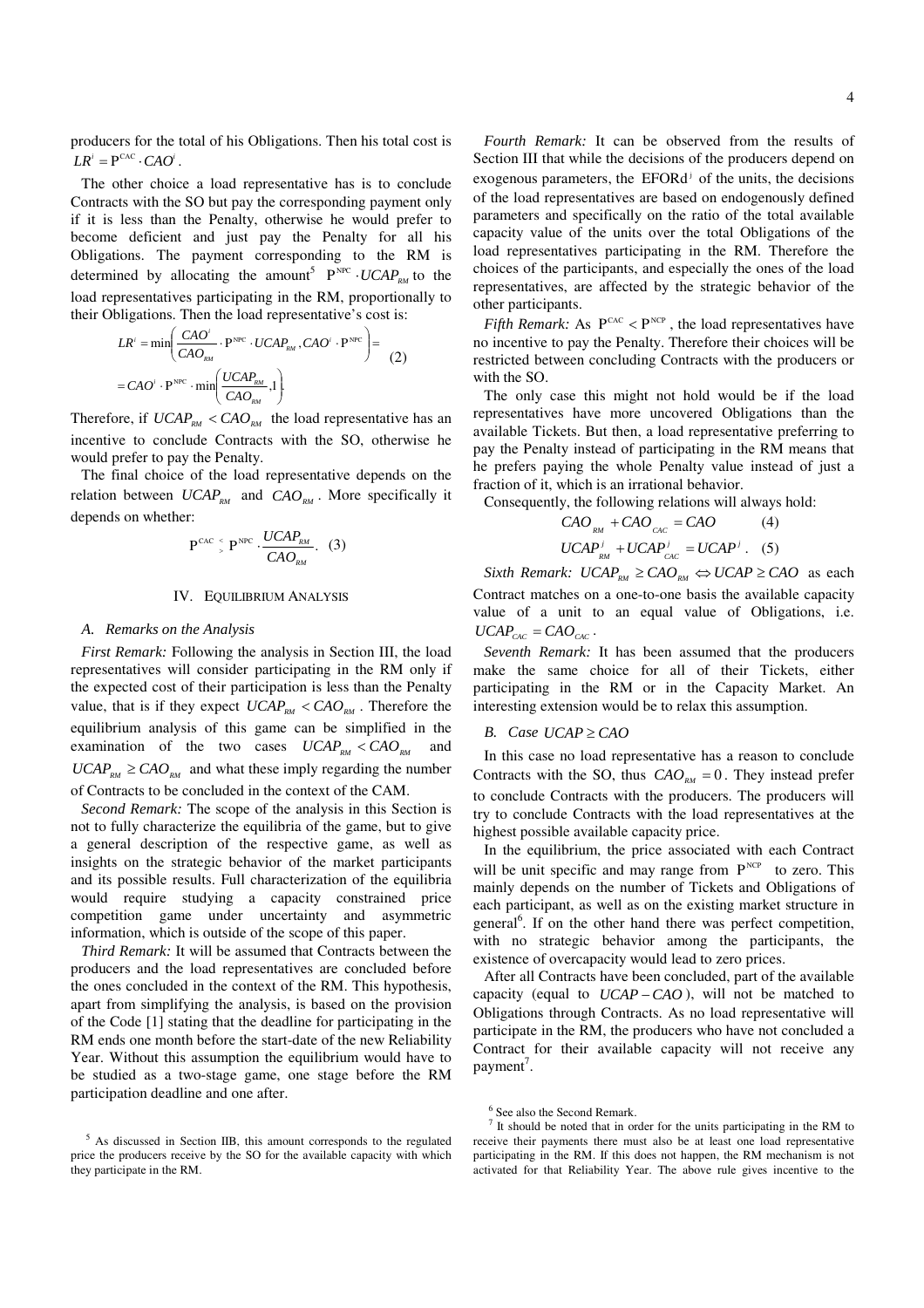producers for the total of his Obligations. Then his total cost is  $LR^i = P^{CAC} \cdot CAO^i$ .

The other choice a load representative has is to conclude Contracts with the SO but pay the corresponding payment only if it is less than the Penalty, otherwise he would prefer to become deficient and just pay the Penalty for all his Obligations. The payment corresponding to the RM is determined by allocating the amount<sup>5</sup>  $P^{NPC} \cdot UCAP_{RM}$  to the load representatives participating in the RM, proportionally to their Obligations. Then the load representative's cost is:

$$
LR^{i} = \min \left( \frac{CAO^{i}}{CAO_{_{RM}}} \cdot P^{_{NPC}} \cdot UCAP_{_{RM}}, CAO^{i} \cdot P^{_{NPC}} \right) =
$$
  
=  $CAO^{i} \cdot P^{_{NPC}} \cdot \min \left( \frac{UCAP_{_{RM}}}{CAO_{_{RM}}} , 1 \right)$  (2)

Therefore, if  $UCAP_{\scriptscriptstyle RM} < CAO_{\scriptscriptstyle RM}$  the load representative has an incentive to conclude Contracts with the SO, otherwise he would prefer to pay the Penalty.

The final choice of the load representative depends on the relation between  $UCAP_{RM}$  and  $CAO_{RM}$ . More specifically it depends on whether:

$$
P^{CAC} \underset{\geq}{\leq} P^{NPC} \cdot \frac{UCAP_{RM}}{CAO_{RM}}. (3)
$$

#### IV. EQUILIBRIUM ANALYSIS

#### *A. Remarks on the Analysis*

*First Remark:* Following the analysis in Section III, the load representatives will consider participating in the RM only if the expected cost of their participation is less than the Penalty value, that is if they expect  $UCAP_{\scriptscriptstyle RM} < CAO_{\scriptscriptstyle RM}$ . Therefore the equilibrium analysis of this game can be simplified in the examination of the two cases  $UCAP_{RM} < CAO_{RM}$  and  $UCAP<sub>RM</sub> \geq CAO<sub>RM</sub>$  and what these imply regarding the number of Contracts to be concluded in the context of the CAM.

*Second Remark:* The scope of the analysis in this Section is not to fully characterize the equilibria of the game, but to give a general description of the respective game, as well as insights on the strategic behavior of the market participants and its possible results. Full characterization of the equilibria would require studying a capacity constrained price competition game under uncertainty and asymmetric information, which is outside of the scope of this paper.

*Third Remark:* It will be assumed that Contracts between the producers and the load representatives are concluded before the ones concluded in the context of the RM. This hypothesis, apart from simplifying the analysis, is based on the provision of the Code [1] stating that the deadline for participating in the RM ends one month before the start-date of the new Reliability Year. Without this assumption the equilibrium would have to be studied as a two-stage game, one stage before the RM participation deadline and one after.

*Fourth Remark:* It can be observed from the results of Section III that while the decisions of the producers depend on exogenous parameters, the  $EFORd<sup>j</sup>$  of the units, the decisions of the load representatives are based on endogenously defined parameters and specifically on the ratio of the total available capacity value of the units over the total Obligations of the load representatives participating in the RM. Therefore the choices of the participants, and especially the ones of the load representatives, are affected by the strategic behavior of the other participants.

*Fifth Remark:* As  $P^{CAC}$  <  $P^{NCP}$ , the load representatives have no incentive to pay the Penalty. Therefore their choices will be restricted between concluding Contracts with the producers or with the SO.

The only case this might not hold would be if the load representatives have more uncovered Obligations than the available Tickets. But then, a load representative preferring to pay the Penalty instead of participating in the RM means that he prefers paying the whole Penalty value instead of just a fraction of it, which is an irrational behavior.

Consequently, the following relations will always hold:

$$
CAO_{RM} + CAO_{CAC} = CAO
$$
 (4)  

$$
UCAP_{RM} + UCAP_{CAC}^{j} = UCAP^{j}
$$
. (5)

*Sixth Remark:*  $UCAP_{RM} \geq CAO_{RM} \Leftrightarrow UCAP \geq CAO$  as each Contract matches on a one-to-one basis the available capacity value of a unit to an equal value of Obligations, i.e.  $UCAP_{CAC} = CAO_{CAC}$ .

*Seventh Remark:* It has been assumed that the producers make the same choice for all of their Tickets, either participating in the RM or in the Capacity Market. An interesting extension would be to relax this assumption.

## *B. Case UCAP*  $\geq$  *CAO*

In this case no load representative has a reason to conclude Contracts with the SO, thus  $CAO<sub>RM</sub> = 0$ . They instead prefer to conclude Contracts with the producers. The producers will try to conclude Contracts with the load representatives at the highest possible available capacity price.

In the equilibrium, the price associated with each Contract will be unit specific and may range from  $P^{NCP}$  to zero. This mainly depends on the number of Tickets and Obligations of each participant, as well as on the existing market structure in general<sup>6</sup>. If on the other hand there was perfect competition, with no strategic behavior among the participants, the existence of overcapacity would lead to zero prices.

After all Contracts have been concluded, part of the available capacity (equal to *UCAP* −*CAO* ), will not be matched to Obligations through Contracts. As no load representative will participate in the RM, the producers who have not concluded a Contract for their available capacity will not receive any payment<sup>7</sup>.

<sup>&</sup>lt;sup>5</sup> As discussed in Section IIB, this amount corresponds to the regulated price the producers receive by the SO for the available capacity with which they participate in the RM.

<sup>6</sup> See also the Second Remark.

 $<sup>7</sup>$  It should be noted that in order for the units participating in the RM to</sup> receive their payments there must also be at least one load representative participating in the RM. If this does not happen, the RM mechanism is not activated for that Reliability Year. The above rule gives incentive to the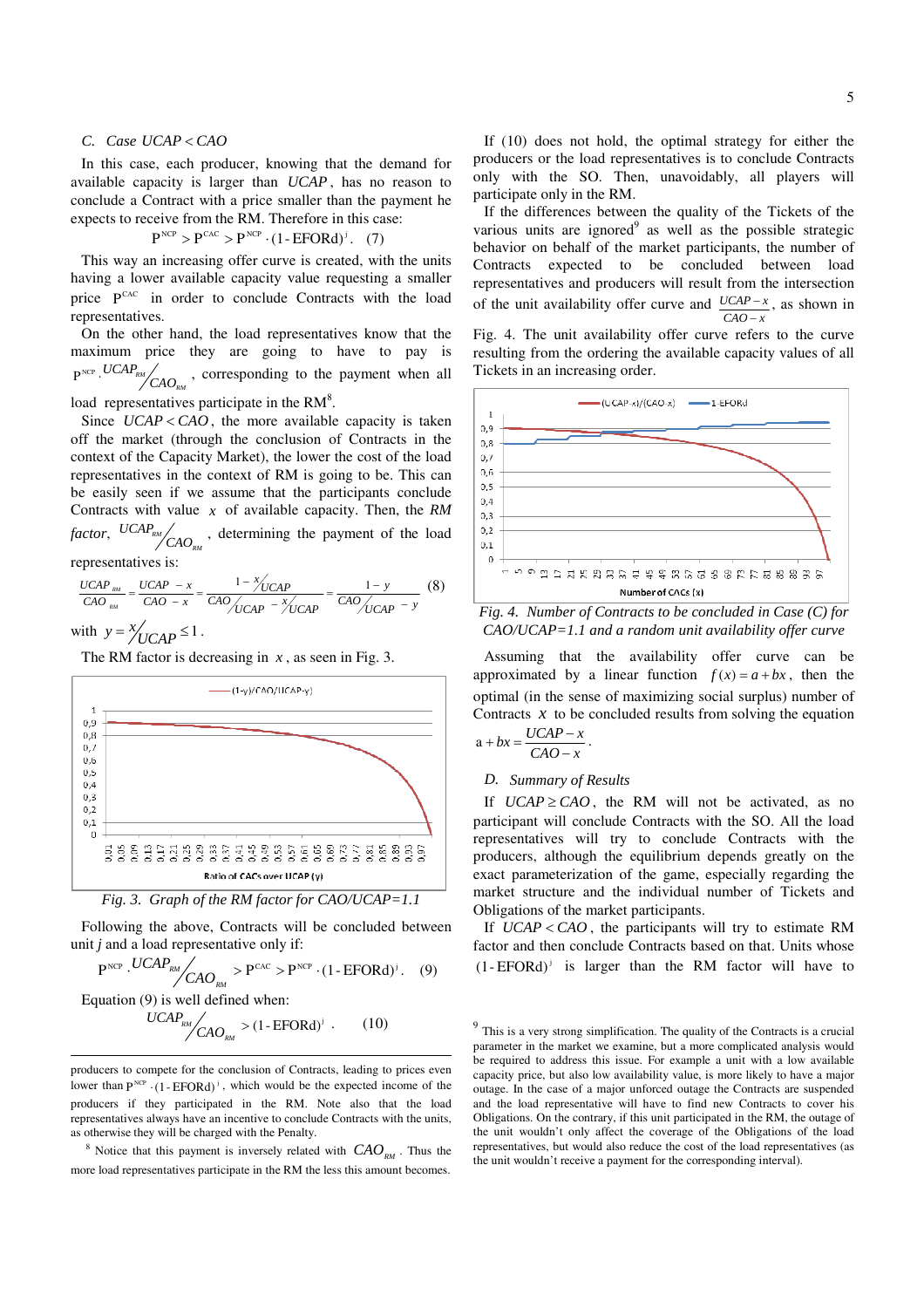#### *C. Case UCAP* < *CAO*

In this case, each producer, knowing that the demand for available capacity is larger than *UCAP* , has no reason to conclude a Contract with a price smaller than the payment he expects to receive from the RM. Therefore in this case:

$$
PNCP > PCAC > PNCP \cdot (1 - EFORM)j. (7)
$$

This way an increasing offer curve is created, with the units having a lower available capacity value requesting a smaller price P<sup>CAC</sup> in order to conclude Contracts with the load representatives.

On the other hand, the load representatives know that the maximum price they are going to have to pay is *RM RM CAO*  $P^{NCP}$ .  $UCAP_{RM}$ , corresponding to the payment when all

load representatives participate in the  $RM<sup>8</sup>$ .

Since *UCAP* < *CAO*, the more available capacity is taken off the market (through the conclusion of Contracts in the context of the Capacity Market), the lower the cost of the load representatives in the context of RM is going to be. This can be easily seen if we assume that the participants conclude Contracts with value *x* of available capacity. Then, the *RM*  factor,  $\frac{UCAP_{\scriptscriptstyle RM}}{CAO_{\scriptscriptstyle RM}}$  $\frac{UCAP_{RM}}{CAO_{RM}}$ , determining the payment of the load

representatives is:

$$
\frac{UCAP_{\text{RM}}}{CAO_{\text{RM}}} = \frac{UCAP - x}{CAO - x} = \frac{1 - \sqrt{x}/UCAP}{CAO / UCAP - \sqrt{x}/UCAP} = \frac{1 - y}{CAO / UCAP - y}
$$
(8)

with  $y = x / UCAP \leq 1$ .

The RM factor is decreasing in *x* , as seen in Fig. 3.





Following the above, Contracts will be concluded between unit *j* and a load representative only if:

$$
PNCP \cdot \frac{UCAP_{RM}}{CAO_{RM}} > PCAC > PNCP \cdot (1-EFORd)j. (9)
$$

Equation (9) is well defined when:

j

$$
UCAP_{RM}/CAO_{RM} > (1-EFORd)^{j} . (10)
$$

producers to compete for the conclusion of Contracts, leading to prices even lower than  $P^{NCP} \cdot (1 - EFORM)$ , which would be the expected income of the producers if they participated in the RM. Note also that the load representatives always have an incentive to conclude Contracts with the units, as otherwise they will be charged with the Penalty.

<sup>8</sup> Notice that this payment is inversely related with  $CAO<sub>RM</sub>$ . Thus the more load representatives participate in the RM the less this amount becomes.

If (10) does not hold, the optimal strategy for either the producers or the load representatives is to conclude Contracts only with the SO. Then, unavoidably, all players will participate only in the RM.

If the differences between the quality of the Tickets of the various units are ignored<sup>9</sup> as well as the possible strategic behavior on behalf of the market participants, the number of Contracts expected to be concluded between load representatives and producers will result from the intersection of the unit availability offer curve and  $\frac{UCAP - x}{}$ , as shown in  $CAO - x$ 

Fig. 4. The unit availability offer curve refers to the curve resulting from the ordering the available capacity values of all Tickets in an increasing order.



*Fig. 4. Number of Contracts to be concluded in Case (C) for CAO/UCAP=1.1 and a random unit availability offer curve* 

Assuming that the availability offer curve can be approximated by a linear function  $f(x) = a + bx$ , then the optimal (in the sense of maximizing social surplus) number of Contracts  $x$  to be concluded results from solving the equation

$$
a+bx=\frac{UCAP-x}{CAO-x}.
$$

## *D. Summary of Results*

If  $UCAP \geq CAO$ , the RM will not be activated, as no participant will conclude Contracts with the SO. All the load representatives will try to conclude Contracts with the producers, although the equilibrium depends greatly on the exact parameterization of the game, especially regarding the market structure and the individual number of Tickets and Obligations of the market participants.

If *UCAP* < *CAO* , the participants will try to estimate RM factor and then conclude Contracts based on that. Units whose  $(1 - EFORd)^{j}$  is larger than the RM factor will have to

 $9$  This is a very strong simplification. The quality of the Contracts is a crucial parameter in the market we examine, but a more complicated analysis would be required to address this issue. For example a unit with a low available capacity price, but also low availability value, is more likely to have a major outage. In the case of a major unforced outage the Contracts are suspended and the load representative will have to find new Contracts to cover his Obligations. On the contrary, if this unit participated in the RM, the outage of the unit wouldn't only affect the coverage of the Obligations of the load representatives, but would also reduce the cost of the load representatives (as the unit wouldn't receive a payment for the corresponding interval).